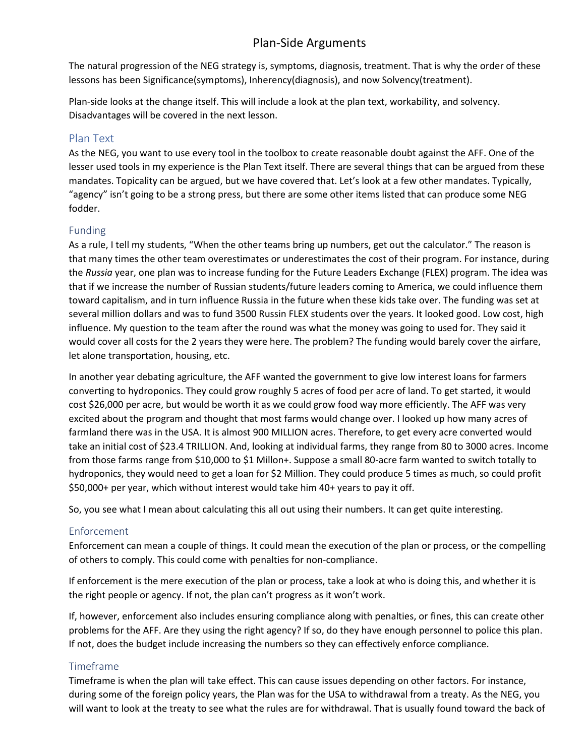# Plan-Side Arguments

The natural progression of the NEG strategy is, symptoms, diagnosis, treatment. That is why the order of these lessons has been Significance(symptoms), Inherency(diagnosis), and now Solvency(treatment).

Plan-side looks at the change itself. This will include a look at the plan text, workability, and solvency. Disadvantages will be covered in the next lesson.

## Plan Text

As the NEG, you want to use every tool in the toolbox to create reasonable doubt against the AFF. One of the lesser used tools in my experience is the Plan Text itself. There are several things that can be argued from these mandates. Topicality can be argued, but we have covered that. Let's look at a few other mandates. Typically, "agency" isn't going to be a strong press, but there are some other items listed that can produce some NEG fodder.

### Funding

As a rule, I tell my students, "When the other teams bring up numbers, get out the calculator." The reason is that many times the other team overestimates or underestimates the cost of their program. For instance, during the *Russia* year, one plan was to increase funding for the Future Leaders Exchange (FLEX) program. The idea was that if we increase the number of Russian students/future leaders coming to America, we could influence them toward capitalism, and in turn influence Russia in the future when these kids take over. The funding was set at several million dollars and was to fund 3500 Russin FLEX students over the years. It looked good. Low cost, high influence. My question to the team after the round was what the money was going to used for. They said it would cover all costs for the 2 years they were here. The problem? The funding would barely cover the airfare, let alone transportation, housing, etc.

In another year debating agriculture, the AFF wanted the government to give low interest loans for farmers converting to hydroponics. They could grow roughly 5 acres of food per acre of land. To get started, it would cost \$26,000 per acre, but would be worth it as we could grow food way more efficiently. The AFF was very excited about the program and thought that most farms would change over. I looked up how many acres of farmland there was in the USA. It is almost 900 MILLION acres. Therefore, to get every acre converted would take an initial cost of \$23.4 TRILLION. And, looking at individual farms, they range from 80 to 3000 acres. Income from those farms range from \$10,000 to \$1 Millon+. Suppose a small 80-acre farm wanted to switch totally to hydroponics, they would need to get a loan for \$2 Million. They could produce 5 times as much, so could profit \$50,000+ per year, which without interest would take him 40+ years to pay it off.

So, you see what I mean about calculating this all out using their numbers. It can get quite interesting.

### Enforcement

Enforcement can mean a couple of things. It could mean the execution of the plan or process, or the compelling of others to comply. This could come with penalties for non-compliance.

If enforcement is the mere execution of the plan or process, take a look at who is doing this, and whether it is the right people or agency. If not, the plan can't progress as it won't work.

If, however, enforcement also includes ensuring compliance along with penalties, or fines, this can create other problems for the AFF. Are they using the right agency? If so, do they have enough personnel to police this plan. If not, does the budget include increasing the numbers so they can effectively enforce compliance.

### Timeframe

Timeframe is when the plan will take effect. This can cause issues depending on other factors. For instance, during some of the foreign policy years, the Plan was for the USA to withdrawal from a treaty. As the NEG, you will want to look at the treaty to see what the rules are for withdrawal. That is usually found toward the back of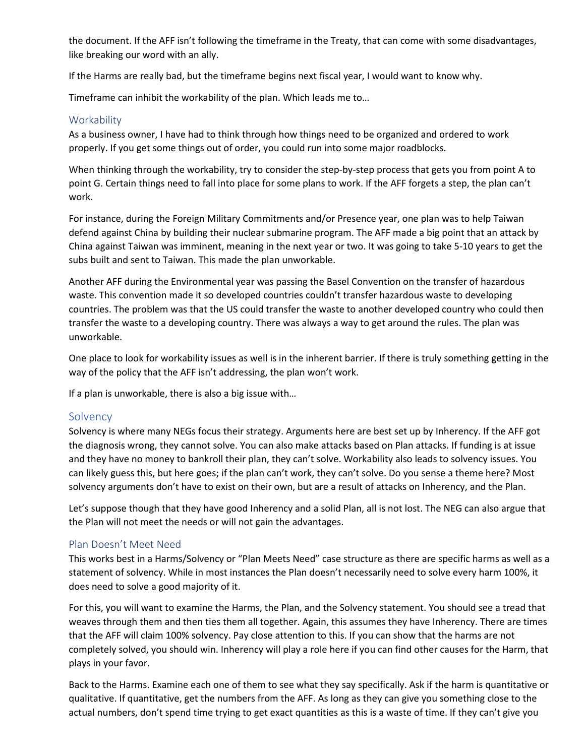the document. If the AFF isn't following the timeframe in the Treaty, that can come with some disadvantages, like breaking our word with an ally.

If the Harms are really bad, but the timeframe begins next fiscal year, I would want to know why.

Timeframe can inhibit the workability of the plan. Which leads me to…

### **Workability**

As a business owner, I have had to think through how things need to be organized and ordered to work properly. If you get some things out of order, you could run into some major roadblocks.

When thinking through the workability, try to consider the step-by-step process that gets you from point A to point G. Certain things need to fall into place for some plans to work. If the AFF forgets a step, the plan can't work.

For instance, during the Foreign Military Commitments and/or Presence year, one plan was to help Taiwan defend against China by building their nuclear submarine program. The AFF made a big point that an attack by China against Taiwan was imminent, meaning in the next year or two. It was going to take 5-10 years to get the subs built and sent to Taiwan. This made the plan unworkable.

Another AFF during the Environmental year was passing the Basel Convention on the transfer of hazardous waste. This convention made it so developed countries couldn't transfer hazardous waste to developing countries. The problem was that the US could transfer the waste to another developed country who could then transfer the waste to a developing country. There was always a way to get around the rules. The plan was unworkable.

One place to look for workability issues as well is in the inherent barrier. If there is truly something getting in the way of the policy that the AFF isn't addressing, the plan won't work.

If a plan is unworkable, there is also a big issue with…

### **Solvency**

Solvency is where many NEGs focus their strategy. Arguments here are best set up by Inherency. If the AFF got the diagnosis wrong, they cannot solve. You can also make attacks based on Plan attacks. If funding is at issue and they have no money to bankroll their plan, they can't solve. Workability also leads to solvency issues. You can likely guess this, but here goes; if the plan can't work, they can't solve. Do you sense a theme here? Most solvency arguments don't have to exist on their own, but are a result of attacks on Inherency, and the Plan.

Let's suppose though that they have good Inherency and a solid Plan, all is not lost. The NEG can also argue that the Plan will not meet the needs or will not gain the advantages.

### Plan Doesn't Meet Need

This works best in a Harms/Solvency or "Plan Meets Need" case structure as there are specific harms as well as a statement of solvency. While in most instances the Plan doesn't necessarily need to solve every harm 100%, it does need to solve a good majority of it.

For this, you will want to examine the Harms, the Plan, and the Solvency statement. You should see a tread that weaves through them and then ties them all together. Again, this assumes they have Inherency. There are times that the AFF will claim 100% solvency. Pay close attention to this. If you can show that the harms are not completely solved, you should win. Inherency will play a role here if you can find other causes for the Harm, that plays in your favor.

Back to the Harms. Examine each one of them to see what they say specifically. Ask if the harm is quantitative or qualitative. If quantitative, get the numbers from the AFF. As long as they can give you something close to the actual numbers, don't spend time trying to get exact quantities as this is a waste of time. If they can't give you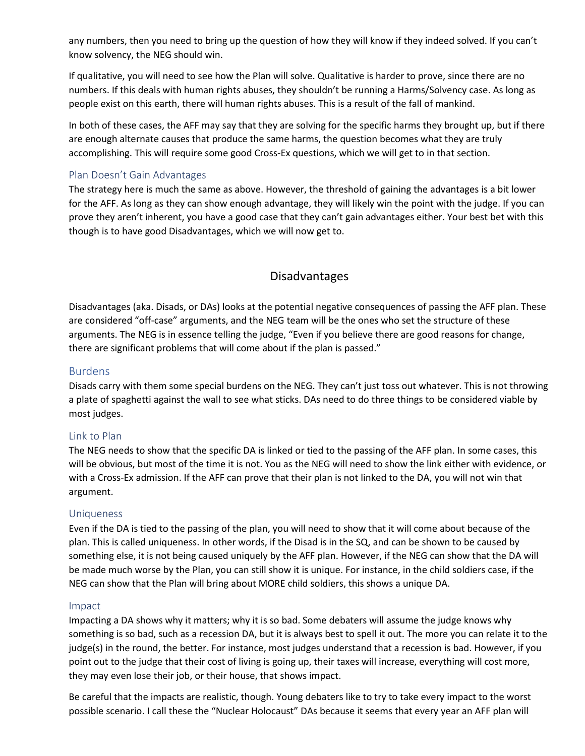any numbers, then you need to bring up the question of how they will know if they indeed solved. If you can't know solvency, the NEG should win.

If qualitative, you will need to see how the Plan will solve. Qualitative is harder to prove, since there are no numbers. If this deals with human rights abuses, they shouldn't be running a Harms/Solvency case. As long as people exist on this earth, there will human rights abuses. This is a result of the fall of mankind.

In both of these cases, the AFF may say that they are solving for the specific harms they brought up, but if there are enough alternate causes that produce the same harms, the question becomes what they are truly accomplishing. This will require some good Cross-Ex questions, which we will get to in that section.

### Plan Doesn't Gain Advantages

The strategy here is much the same as above. However, the threshold of gaining the advantages is a bit lower for the AFF. As long as they can show enough advantage, they will likely win the point with the judge. If you can prove they aren't inherent, you have a good case that they can't gain advantages either. Your best bet with this though is to have good Disadvantages, which we will now get to.

# Disadvantages

Disadvantages (aka. Disads, or DAs) looks at the potential negative consequences of passing the AFF plan. These are considered "off-case" arguments, and the NEG team will be the ones who set the structure of these arguments. The NEG is in essence telling the judge, "Even if you believe there are good reasons for change, there are significant problems that will come about if the plan is passed."

### Burdens

Disads carry with them some special burdens on the NEG. They can't just toss out whatever. This is not throwing a plate of spaghetti against the wall to see what sticks. DAs need to do three things to be considered viable by most judges.

#### Link to Plan

The NEG needs to show that the specific DA is linked or tied to the passing of the AFF plan. In some cases, this will be obvious, but most of the time it is not. You as the NEG will need to show the link either with evidence, or with a Cross-Ex admission. If the AFF can prove that their plan is not linked to the DA, you will not win that argument.

#### Uniqueness

Even if the DA is tied to the passing of the plan, you will need to show that it will come about because of the plan. This is called uniqueness. In other words, if the Disad is in the SQ, and can be shown to be caused by something else, it is not being caused uniquely by the AFF plan. However, if the NEG can show that the DA will be made much worse by the Plan, you can still show it is unique. For instance, in the child soldiers case, if the NEG can show that the Plan will bring about MORE child soldiers, this shows a unique DA.

#### Impact

Impacting a DA shows why it matters; why it is so bad. Some debaters will assume the judge knows why something is so bad, such as a recession DA, but it is always best to spell it out. The more you can relate it to the judge(s) in the round, the better. For instance, most judges understand that a recession is bad. However, if you point out to the judge that their cost of living is going up, their taxes will increase, everything will cost more, they may even lose their job, or their house, that shows impact.

Be careful that the impacts are realistic, though. Young debaters like to try to take every impact to the worst possible scenario. I call these the "Nuclear Holocaust" DAs because it seems that every year an AFF plan will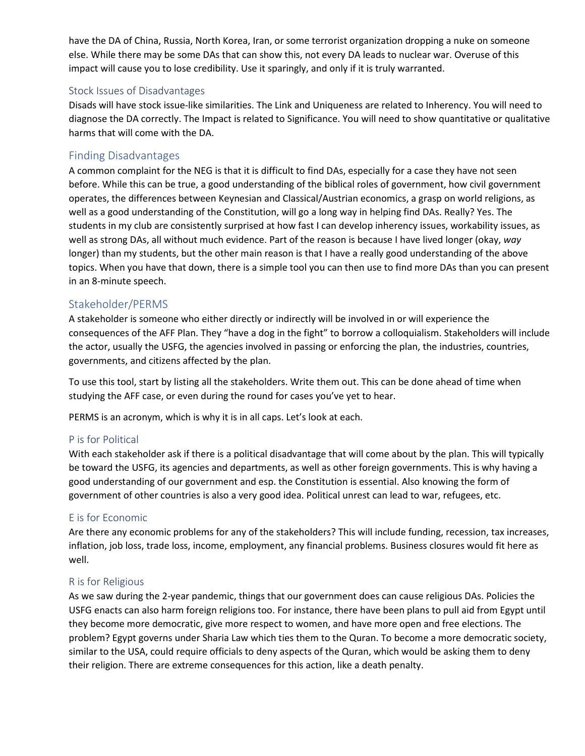have the DA of China, Russia, North Korea, Iran, or some terrorist organization dropping a nuke on someone else. While there may be some DAs that can show this, not every DA leads to nuclear war. Overuse of this impact will cause you to lose credibility. Use it sparingly, and only if it is truly warranted.

### Stock Issues of Disadvantages

Disads will have stock issue-like similarities. The Link and Uniqueness are related to Inherency. You will need to diagnose the DA correctly. The Impact is related to Significance. You will need to show quantitative or qualitative harms that will come with the DA.

### Finding Disadvantages

A common complaint for the NEG is that it is difficult to find DAs, especially for a case they have not seen before. While this can be true, a good understanding of the biblical roles of government, how civil government operates, the differences between Keynesian and Classical/Austrian economics, a grasp on world religions, as well as a good understanding of the Constitution, will go a long way in helping find DAs. Really? Yes. The students in my club are consistently surprised at how fast I can develop inherency issues, workability issues, as well as strong DAs, all without much evidence. Part of the reason is because I have lived longer (okay, *way* longer) than my students, but the other main reason is that I have a really good understanding of the above topics. When you have that down, there is a simple tool you can then use to find more DAs than you can present in an 8-minute speech.

### Stakeholder/PERMS

A stakeholder is someone who either directly or indirectly will be involved in or will experience the consequences of the AFF Plan. They "have a dog in the fight" to borrow a colloquialism. Stakeholders will include the actor, usually the USFG, the agencies involved in passing or enforcing the plan, the industries, countries, governments, and citizens affected by the plan.

To use this tool, start by listing all the stakeholders. Write them out. This can be done ahead of time when studying the AFF case, or even during the round for cases you've yet to hear.

PERMS is an acronym, which is why it is in all caps. Let's look at each.

### P is for Political

With each stakeholder ask if there is a political disadvantage that will come about by the plan. This will typically be toward the USFG, its agencies and departments, as well as other foreign governments. This is why having a good understanding of our government and esp. the Constitution is essential. Also knowing the form of government of other countries is also a very good idea. Political unrest can lead to war, refugees, etc.

### E is for Economic

Are there any economic problems for any of the stakeholders? This will include funding, recession, tax increases, inflation, job loss, trade loss, income, employment, any financial problems. Business closures would fit here as well.

### R is for Religious

As we saw during the 2-year pandemic, things that our government does can cause religious DAs. Policies the USFG enacts can also harm foreign religions too. For instance, there have been plans to pull aid from Egypt until they become more democratic, give more respect to women, and have more open and free elections. The problem? Egypt governs under Sharia Law which ties them to the Quran. To become a more democratic society, similar to the USA, could require officials to deny aspects of the Quran, which would be asking them to deny their religion. There are extreme consequences for this action, like a death penalty.